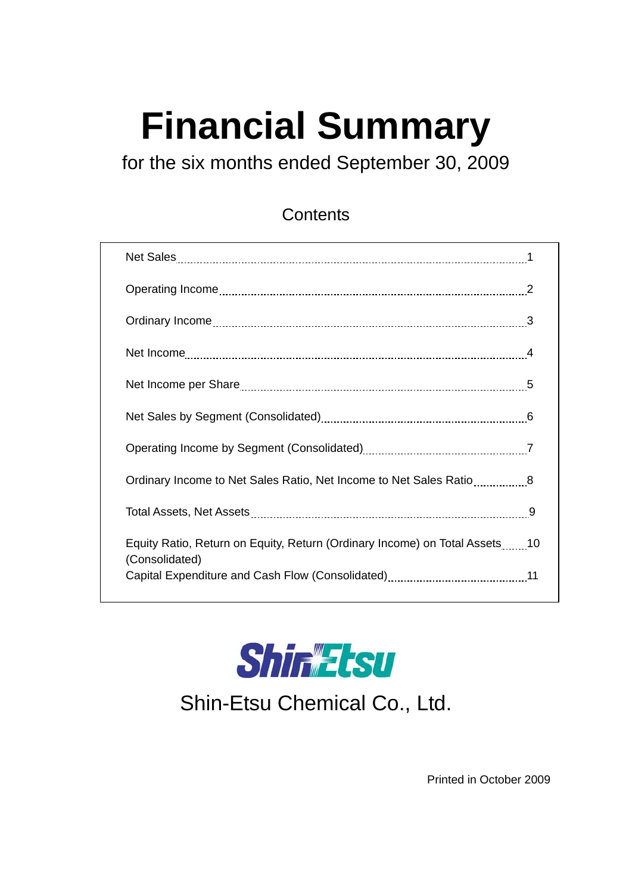# **Financial Summary**

for the six months ended September 30, 2009

#### **Contents**

| Equity Ratio, Return on Equity, Return (Ordinary Income) on Total Assets10<br>(Consolidated) |  |
|----------------------------------------------------------------------------------------------|--|
|                                                                                              |  |



Shin-Etsu Chemical Co., Ltd.

Printed in October 2009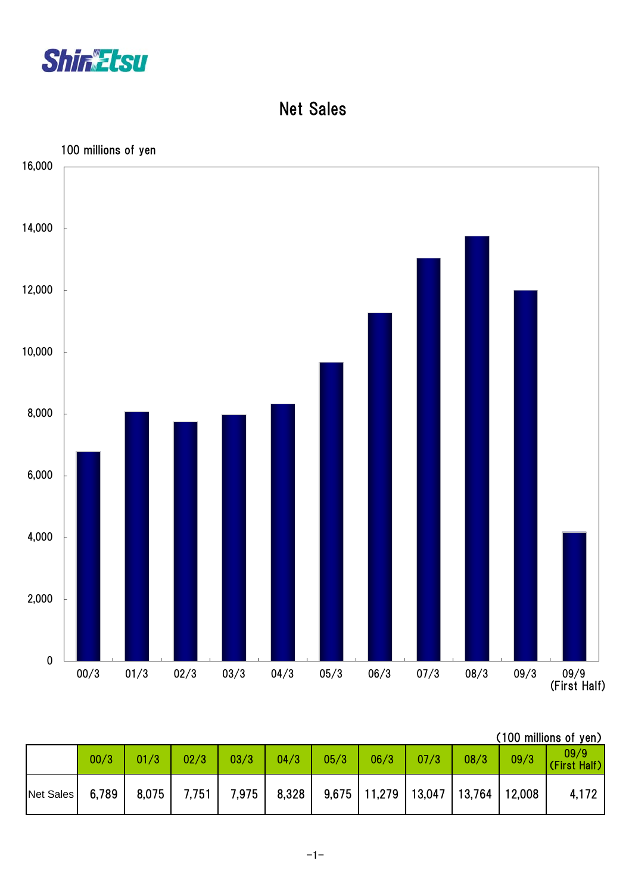

Net Sales



|           |       |       |       |       |       |      |                                             |      |      |      | (100 millions of yen) |
|-----------|-------|-------|-------|-------|-------|------|---------------------------------------------|------|------|------|-----------------------|
|           | 00/3  | 01/3  | 02/3  | 03/3  | 04/3  | 05/3 | 06/3                                        | 07/3 | 08/3 | 09/3 | 09/9<br>(First Half)  |
| Net Sales | 6,789 | 8,075 | 7,751 | 7,975 | 8,328 |      | $9,675$   11,279   13,047   13,764   12,008 |      |      |      | 4,172                 |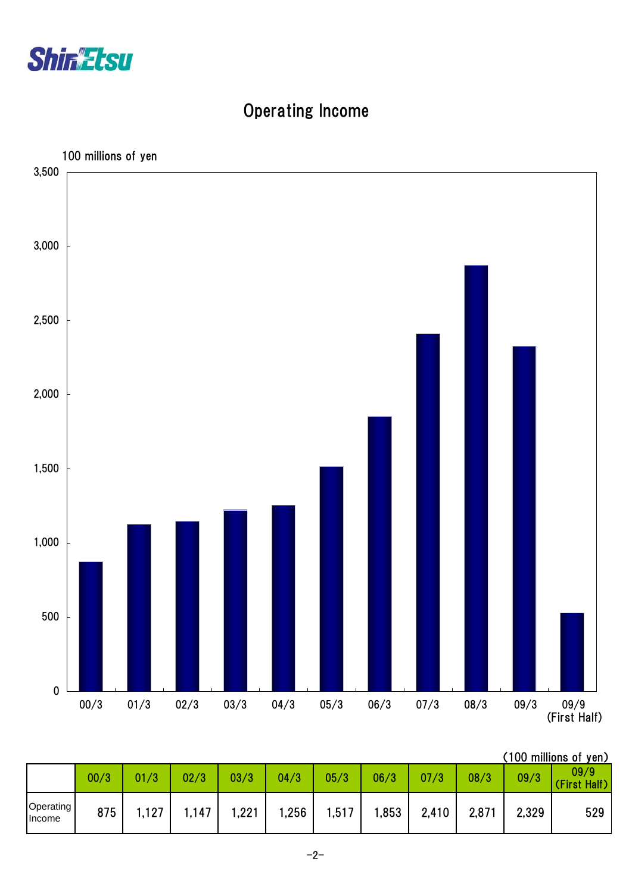

# Operating Income



|  | (100 millions of yen) |  |
|--|-----------------------|--|
|  |                       |  |

|                     | 00/3 | 01/3 | 02/3  | 03/3  | 04/3  | 05/3  | 06/3 | 07/3  | 08/3  | 09/3  | 09/9<br>(First Half) |
|---------------------|------|------|-------|-------|-------|-------|------|-------|-------|-------|----------------------|
| Operating<br>Income | 875  | 127  | 147،، | 1,221 | .256، | 1,517 | .853 | 2,410 | 2,871 | 2,329 | 529                  |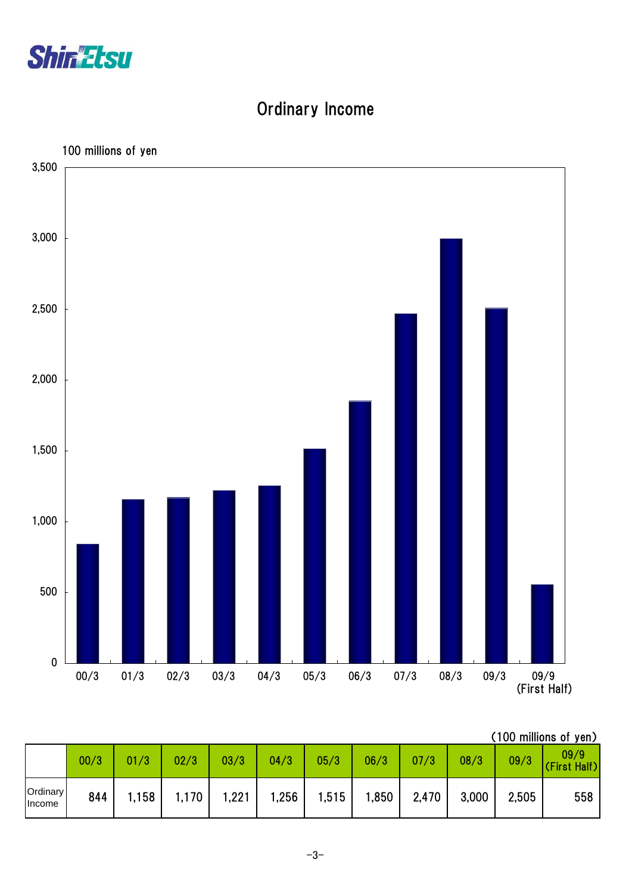

# Ordinary Income



| (100 millions of yen) |  |
|-----------------------|--|
|                       |  |

|                           | 00/3 | 01/3 | 02/3  | 03/3  | 04/3   | 05/3  | 06/3  | 07/3  | 08/3  | 09/3  | 09/9<br>(First Half) |
|---------------------------|------|------|-------|-------|--------|-------|-------|-------|-------|-------|----------------------|
| <b>Ordinary</b><br>Income | 844  | .158 | 1,170 | 1,221 | 256, ا | 1,515 | 1,850 | 2,470 | 3,000 | 2,505 | 558                  |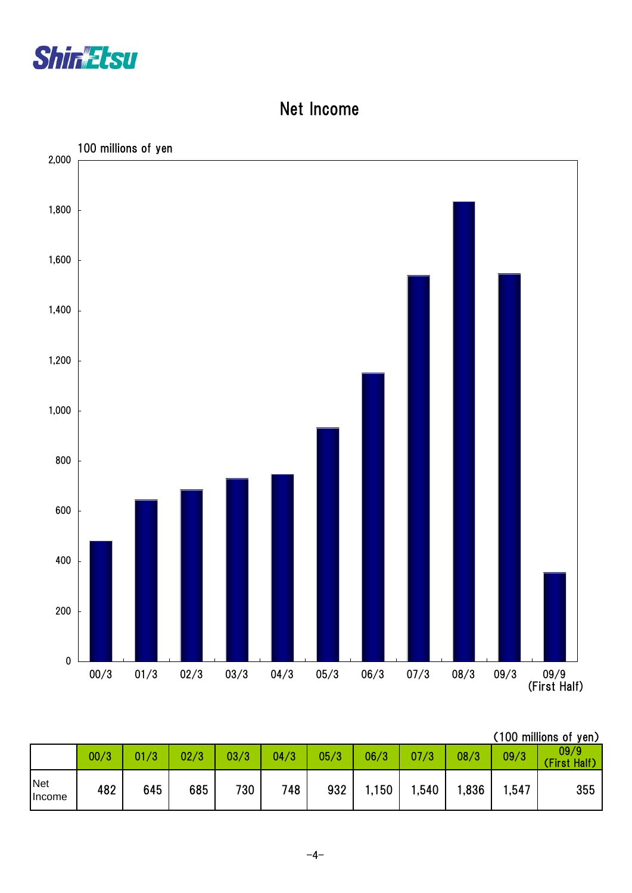

#### Net Income



|               |      |      |      |      |      |      |       |      |       |      | (100 millions of yen) |
|---------------|------|------|------|------|------|------|-------|------|-------|------|-----------------------|
|               | 00/3 | 01/3 | 02/3 | 03/3 | 04/3 | 05/3 | 06/3  | 07/3 | 08/3  | 09/3 | 09/9<br>First Half)   |
| Net<br>Income | 482  | 645  | 685  | 730  | 748  | 932  | 1,150 | ,540 | .836، | ,547 | 355                   |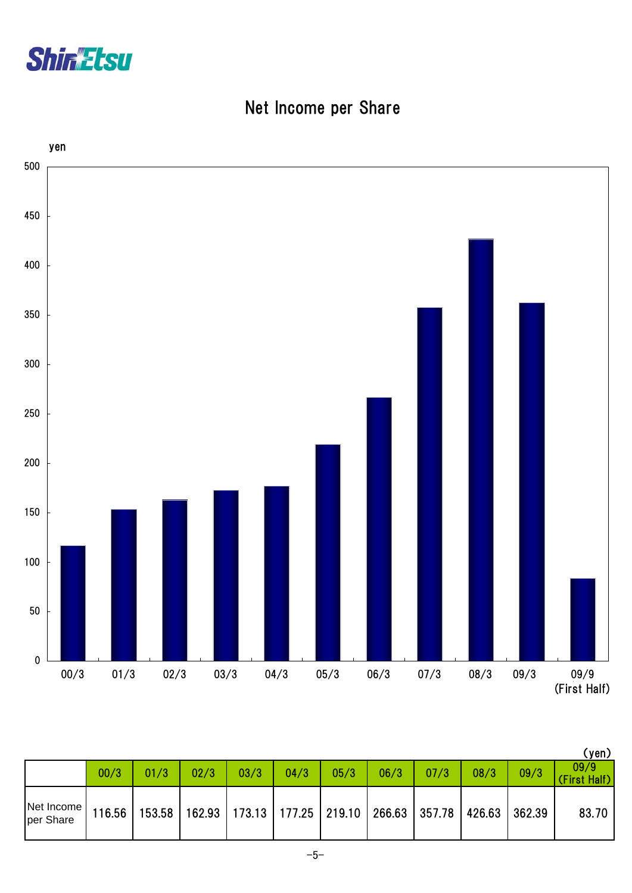

## Net Income per Share



|                         |        |      |      |                                                                                |      |      |      |      |      |      | (yen)                |
|-------------------------|--------|------|------|--------------------------------------------------------------------------------|------|------|------|------|------|------|----------------------|
|                         | 00/3   | 01/3 | 02/3 | 03/3                                                                           | 04/3 | 05/3 | 06/3 | 07/3 | 08/3 | 09/3 | 09/9<br>(First Half) |
| Net Income<br>per Share | 116.56 |      |      | 153.58   162.93   173.13   177.25   219.10   266.63   357.78   426.63   362.39 |      |      |      |      |      |      | 83.70                |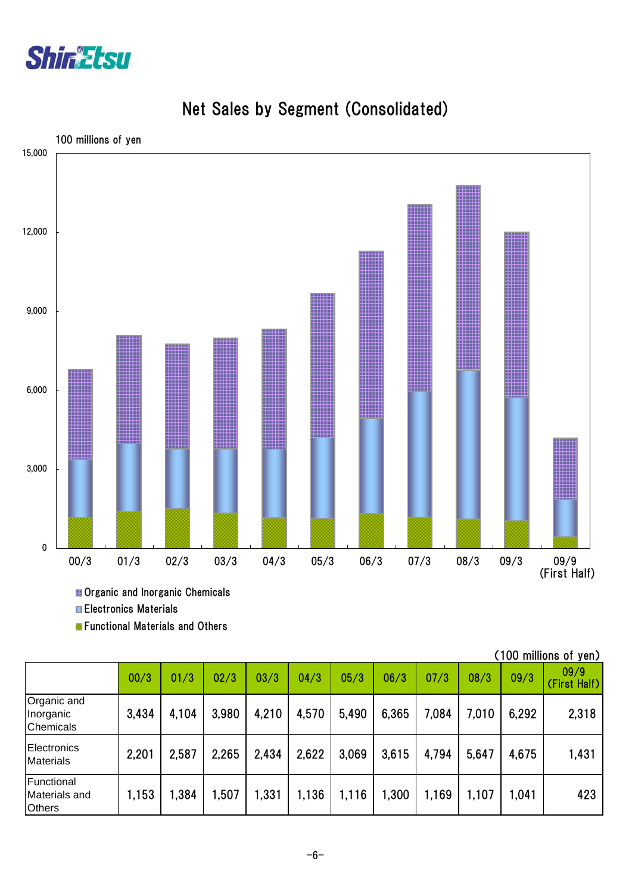



## Net Sales by Segment (Consolidated)

**H** Organic and Inorganic Chemicals Electronics Materials

**Exercicional Materials and Others** 

|                                              |       |       |       |       |       |       |       |       |       |       | 1997 - 1998 - 1999 - 1999 - 1999 - 1999 - 1999 - 1999 - 1999 - 1999 - 1999 - 1999 - 1999 - 1999 - 199 |
|----------------------------------------------|-------|-------|-------|-------|-------|-------|-------|-------|-------|-------|-------------------------------------------------------------------------------------------------------|
|                                              | 00/3  | 01/3  | 02/3  | 03/3  | 04/3  | 05/3  | 06/3  | 07/3  | 08/3  | 09/3  | 09/9<br>(First Half)                                                                                  |
| Organic and<br>Inorganic<br><b>Chemicals</b> | 3,434 | 4,104 | 3,980 | 4,210 | 4,570 | 5,490 | 6,365 | 7,084 | 7,010 | 6,292 | 2,318                                                                                                 |
| Electronics<br><b>Materials</b>              | 2,201 | 2,587 | 2,265 | 2,434 | 2,622 | 3,069 | 3,615 | 4,794 | 5,647 | 4,675 | 1,431                                                                                                 |
| Functional<br>Materials and<br><b>Others</b> | 1,153 | .384  | 1,507 | 1,331 | 1,136 | 1,116 | 1,300 | 1,169 | 1,107 | 1,041 | 423                                                                                                   |

(100 millions of yen)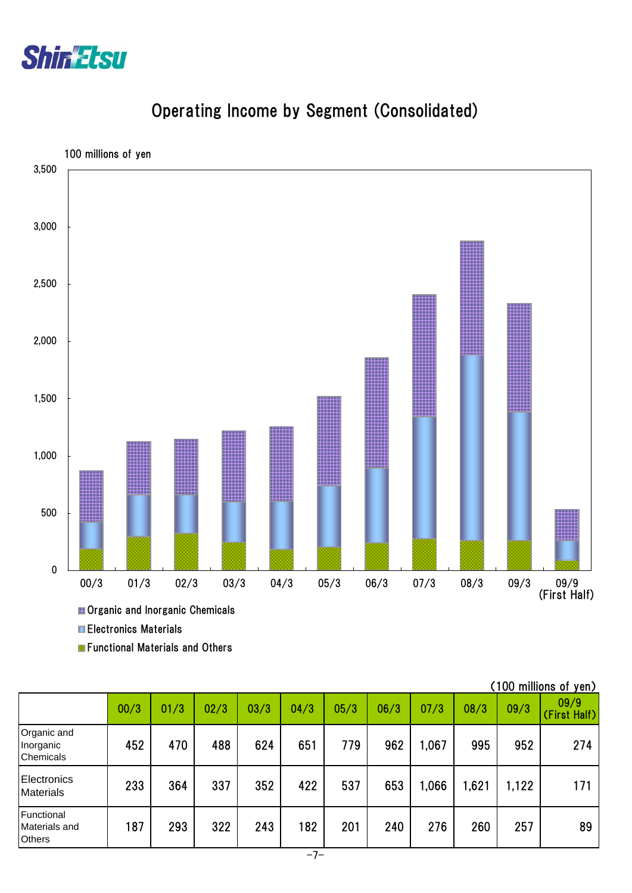



## Operating Income by Segment (Consolidated)

Electronics Materials

**E** Functional Materials and Others

|                                              |      |      |      |      |      |      |      |       |      |       | (100 millions of yen) |
|----------------------------------------------|------|------|------|------|------|------|------|-------|------|-------|-----------------------|
|                                              | 00/3 | 01/3 | 02/3 | 03/3 | 04/3 | 05/3 | 06/3 | 07/3  | 08/3 | 09/3  | 09/9<br>(First Half)  |
| Organic and<br>Inorganic<br><b>Chemicals</b> | 452  | 470  | 488  | 624  | 651  | 779  | 962  | 1,067 | 995  | 952   | 274                   |
| Electronics<br><b>Materials</b>              | 233  | 364  | 337  | 352  | 422  | 537  | 653  | 1,066 | ,621 | 1,122 | 171                   |
| Functional<br>Materials and<br><b>Others</b> | 187  | 293  | 322  | 243  | 182  | 201  | 240  | 276   | 260  | 257   | 89                    |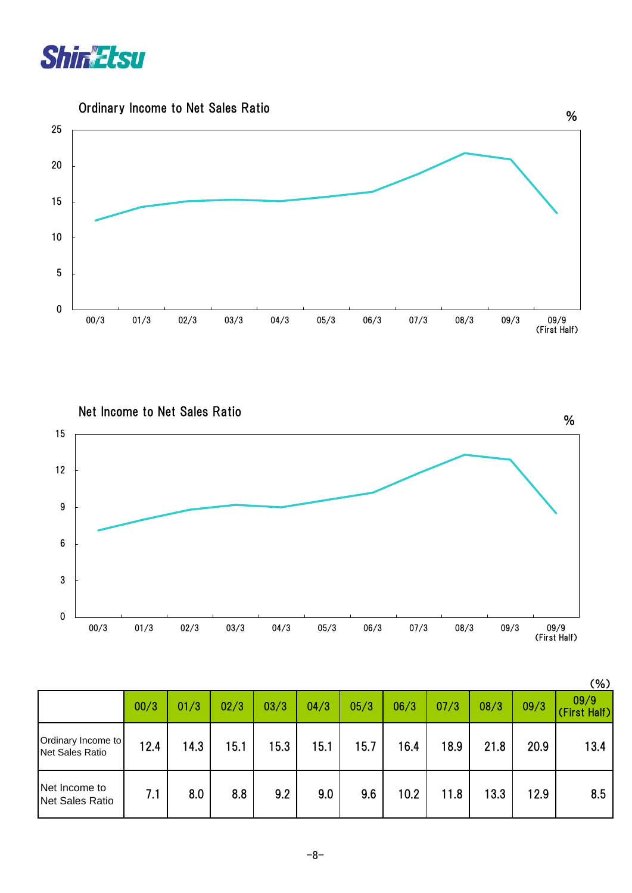





|                                       |      |      |      |      |      |      |      |      |      |      | (%)                  |
|---------------------------------------|------|------|------|------|------|------|------|------|------|------|----------------------|
|                                       | 00/3 | 01/3 | 02/3 | 03/3 | 04/3 | 05/3 | 06/3 | 07/3 | 08/3 | 09/3 | 09/9<br>(First Half) |
| Ordinary Income to<br>Net Sales Ratio | 12.4 | 14.3 | 15.1 | 15.3 | 15.1 | 15.7 | 16.4 | 18.9 | 21.8 | 20.9 | 13.4                 |
| Net Income to<br>Net Sales Ratio      | 7.1  | 8.0  | 8.8  | 9.2  | 9.0  | 9.6  | 10.2 | 11.8 | 13.3 | 12.9 | 8.5                  |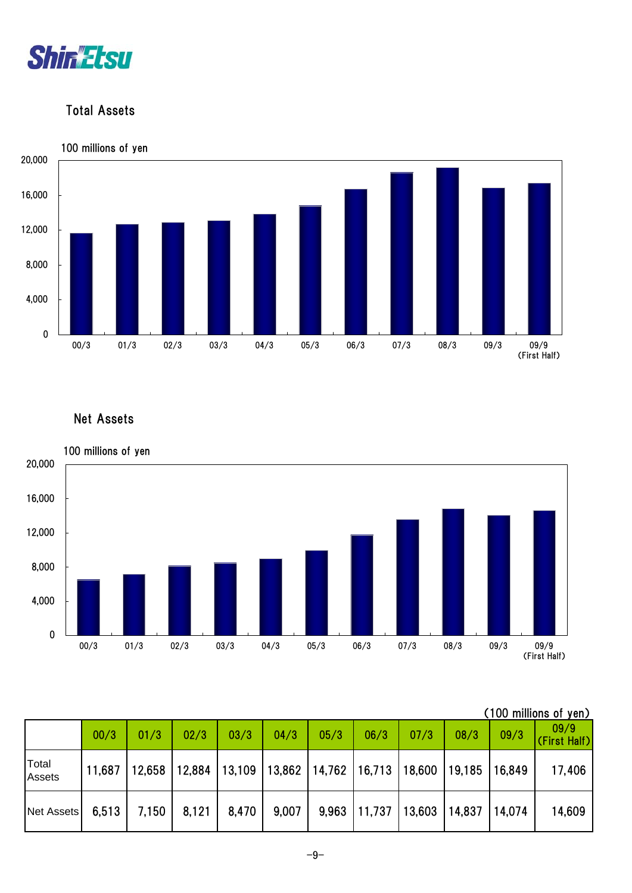

#### Total Assets



#### Net Assets



|                 |        |        |        |        |       |                                   |        |        |                   |      | (100 millions of yen) |
|-----------------|--------|--------|--------|--------|-------|-----------------------------------|--------|--------|-------------------|------|-----------------------|
|                 | 00/3   | 01/3   | 02/3   | 03/3   | 04/3  | 05/3                              | 06/3   | 07/3   | 08/3              | 09/3 | 09/9<br>(First Half)  |
| Total<br>Assets | 11,687 | 12.658 | 12,884 | 13,109 |       | 13,862   14,762   16,713   18,600 |        |        | 19,185   16,849   |      | 17,406                |
| Net Assets      | 6,513  | 7,150  | 8,121  | 8,470  | 9,007 | 9,963                             | 11,737 | 13,603 | $14,837$   14,074 |      | 14,609                |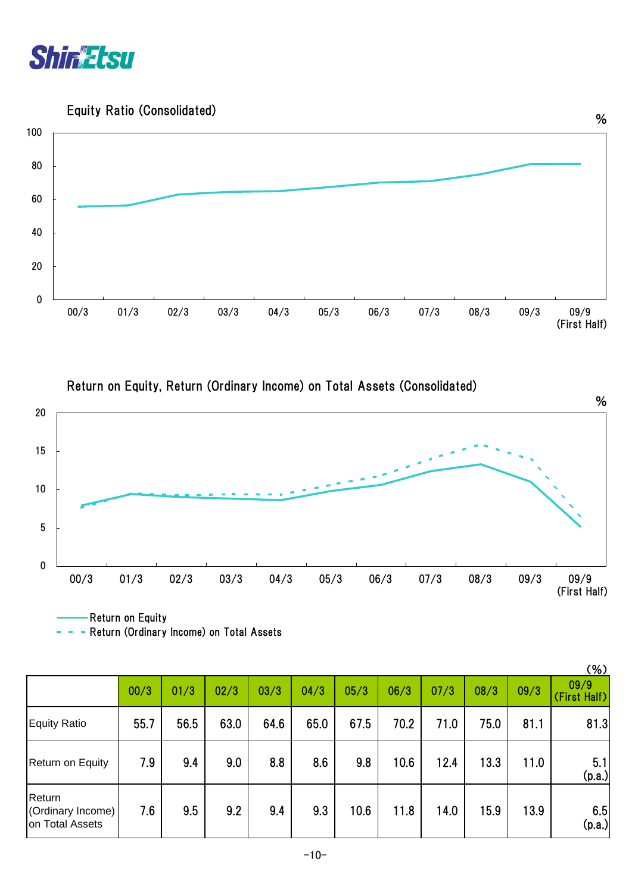

Equity Ratio (Consolidated)



Return on Equity, Return (Ordinary Income) on Total Assets (Consolidated)



Return on Equity

|                                                |      |      |      |      |      |      |      |      |      |      | (% )                 |
|------------------------------------------------|------|------|------|------|------|------|------|------|------|------|----------------------|
|                                                | 00/3 | 01/3 | 02/3 | 03/3 | 04/3 | 05/3 | 06/3 | 07/3 | 08/3 | 09/3 | 09/9<br>(First Half) |
| <b>Equity Ratio</b>                            | 55.7 | 56.5 | 63.0 | 64.6 | 65.0 | 67.5 | 70.2 | 71.0 | 75.0 | 81.1 | 81.3                 |
| Return on Equity                               | 7.9  | 9.4  | 9.0  | 8.8  | 8.6  | 9.8  | 10.6 | 12.4 | 13.3 | 11.0 | 5.1<br>(p.a.)        |
| Return<br>(Ordinary Income)<br>on Total Assets | 7.6  | 9.5  | 9.2  | 9.4  | 9.3  | 10.6 | 11.8 | 14.0 | 15.9 | 13.9 | 6.5<br>(p.a.)        |

- Return (Ordinary Income) on Total Assets